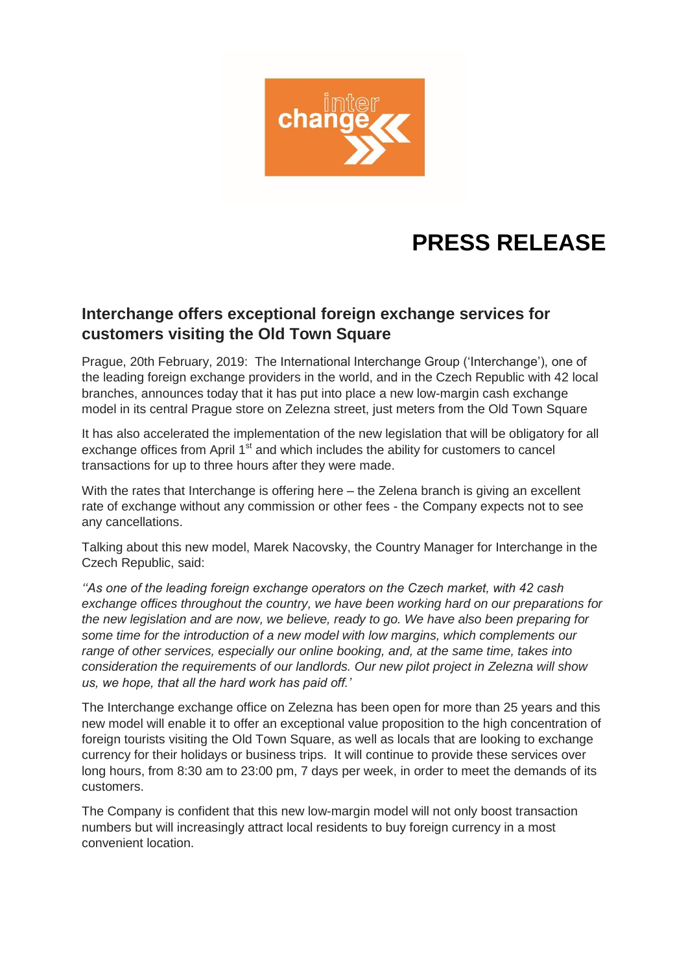

## **PRESS RELEASE**

## **Interchange offers exceptional foreign exchange services for customers visiting the Old Town Square**

Prague, 20th February, 2019: The International Interchange Group ('Interchange'), one of the leading foreign exchange providers in the world, and in the Czech Republic with 42 local branches, announces today that it has put into place a new low-margin cash exchange model in its central Prague store on Zelezna street, just meters from the Old Town Square

It has also accelerated the implementation of the new legislation that will be obligatory for all exchange offices from April  $1<sup>st</sup>$  and which includes the ability for customers to cancel transactions for up to three hours after they were made.

With the rates that Interchange is offering here – the Zelena branch is giving an excellent rate of exchange without any commission or other fees - the Company expects not to see any cancellations.

Talking about this new model, Marek Nacovsky, the Country Manager for Interchange in the Czech Republic, said:

*''As one of the leading foreign exchange operators on the Czech market, with 42 cash exchange offices throughout the country, we have been working hard on our preparations for the new legislation and are now, we believe, ready to go. We have also been preparing for some time for the introduction of a new model with low margins, which complements our range of other services, especially our online booking, and, at the same time, takes into consideration the requirements of our landlords. Our new pilot project in Zelezna will show us, we hope, that all the hard work has paid off.'*

The Interchange exchange office on Zelezna has been open for more than 25 years and this new model will enable it to offer an exceptional value proposition to the high concentration of foreign tourists visiting the Old Town Square, as well as locals that are looking to exchange currency for their holidays or business trips. It will continue to provide these services over long hours, from 8:30 am to 23:00 pm, 7 days per week, in order to meet the demands of its customers.

The Company is confident that this new low-margin model will not only boost transaction numbers but will increasingly attract local residents to buy foreign currency in a most convenient location.